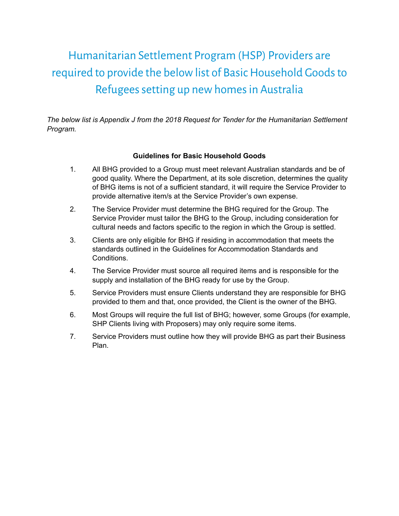## Humanitarian Settlement Program (HSP) Providers are required to provide the below list of Basic Household Goods to Refugees setting up new homes in Australia

*The below list is Appendix J from the 2018 Request for Tender for the Humanitarian Settlement Program.*

## **Guidelines for Basic Household Goods**

- 1. All BHG provided to a Group must meet relevant Australian standards and be of good quality. Where the Department, at its sole discretion, determines the quality of BHG items is not of a sufficient standard, it will require the Service Provider to provide alternative item/s at the Service Provider's own expense.
- 2. The Service Provider must determine the BHG required for the Group. The Service Provider must tailor the BHG to the Group, including consideration for cultural needs and factors specific to the region in which the Group is settled.
- 3. Clients are only eligible for BHG if residing in accommodation that meets the standards outlined in the Guidelines for Accommodation Standards and Conditions.
- 4. The Service Provider must source all required items and is responsible for the supply and installation of the BHG ready for use by the Group.
- 5. Service Providers must ensure Clients understand they are responsible for BHG provided to them and that, once provided, the Client is the owner of the BHG.
- 6. Most Groups will require the full list of BHG; however, some Groups (for example, SHP Clients living with Proposers) may only require some items.
- 7. Service Providers must outline how they will provide BHG as part their Business Plan.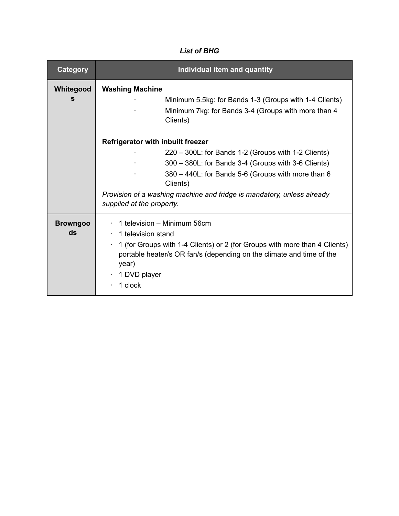## *List of BHG*

| Category              | Individual item and quantity                                                                                                                                                                                                                                                                                                    |
|-----------------------|---------------------------------------------------------------------------------------------------------------------------------------------------------------------------------------------------------------------------------------------------------------------------------------------------------------------------------|
| Whitegood<br>S        | <b>Washing Machine</b><br>Minimum 5.5kg: for Bands 1-3 (Groups with 1-4 Clients)<br>Minimum 7kg: for Bands 3-4 (Groups with more than 4<br>Clients)                                                                                                                                                                             |
|                       | <b>Refrigerator with inbuilt freezer</b><br>220 - 300L: for Bands 1-2 (Groups with 1-2 Clients)<br>300 - 380L: for Bands 3-4 (Groups with 3-6 Clients)<br>380 - 440L: for Bands 5-6 (Groups with more than 6<br>Clients)<br>Provision of a washing machine and fridge is mandatory, unless already<br>supplied at the property. |
| <b>Browngoo</b><br>ds | 1 television – Minimum 56cm<br>1 television stand<br>1 (for Groups with 1-4 Clients) or 2 (for Groups with more than 4 Clients)<br>portable heater/s OR fan/s (depending on the climate and time of the<br>year)<br>1 DVD player<br>1 clock                                                                                     |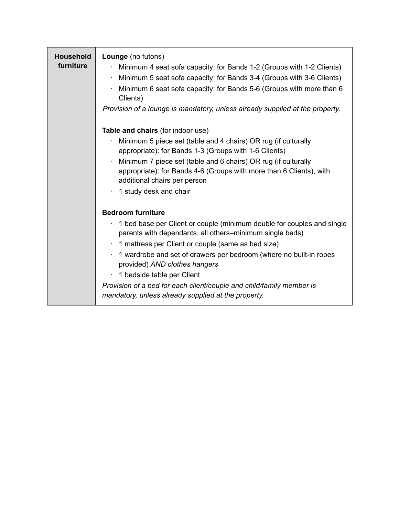| <b>Household</b><br>furniture | Lounge (no futons)<br>Minimum 4 seat sofa capacity: for Bands 1-2 (Groups with 1-2 Clients)<br>Minimum 5 seat sofa capacity: for Bands 3-4 (Groups with 3-6 Clients)<br>٠<br>Minimum 6 seat sofa capacity: for Bands 5-6 (Groups with more than 6<br>Clients)<br>Provision of a lounge is mandatory, unless already supplied at the property.                                                                                                                                            |
|-------------------------------|------------------------------------------------------------------------------------------------------------------------------------------------------------------------------------------------------------------------------------------------------------------------------------------------------------------------------------------------------------------------------------------------------------------------------------------------------------------------------------------|
|                               | Table and chairs (for indoor use)<br>Minimum 5 piece set (table and 4 chairs) OR rug (if culturally<br>appropriate): for Bands 1-3 (Groups with 1-6 Clients)<br>Minimum 7 piece set (table and 6 chairs) OR rug (if culturally<br>appropriate): for Bands 4-6 (Groups with more than 6 Clients), with<br>additional chairs per person<br>1 study desk and chair                                                                                                                          |
|                               | <b>Bedroom furniture</b><br>1 bed base per Client or couple (minimum double for couples and single<br>parents with dependants, all others-minimum single beds)<br>1 mattress per Client or couple (same as bed size)<br>1 wardrobe and set of drawers per bedroom (where no built-in robes<br>provided) AND clothes hangers<br>1 bedside table per Client<br>Provision of a bed for each client/couple and child/family member is<br>mandatory, unless already supplied at the property. |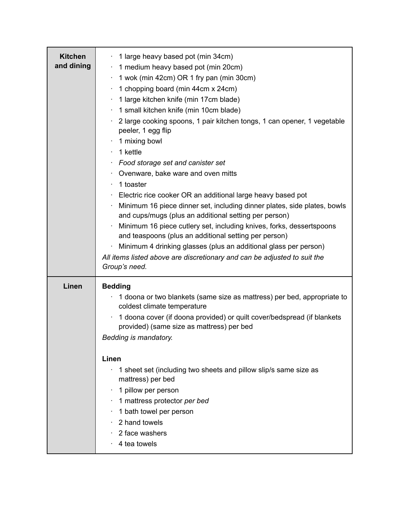| <b>Kitchen</b><br>and dining | 1 large heavy based pot (min 34cm)<br>1 medium heavy based pot (min 20cm)<br>1 wok (min 42cm) OR 1 fry pan (min 30cm)<br>1 chopping board (min 44cm x 24cm)<br>1 large kitchen knife (min 17cm blade)<br>1 small kitchen knife (min 10cm blade)<br>2 large cooking spoons, 1 pair kitchen tongs, 1 can opener, 1 vegetable<br>peeler, 1 egg flip<br>1 mixing bowl<br>1 kettle<br>Food storage set and canister set<br>Ovenware, bake ware and oven mitts<br>1 toaster<br>Electric rice cooker OR an additional large heavy based pot<br>Minimum 16 piece dinner set, including dinner plates, side plates, bowls<br>and cups/mugs (plus an additional setting per person)<br>Minimum 16 piece cutlery set, including knives, forks, dessertspoons<br>and teaspoons (plus an additional setting per person)<br>Minimum 4 drinking glasses (plus an additional glass per person)<br>All items listed above are discretionary and can be adjusted to suit the<br>Group's need. |
|------------------------------|-----------------------------------------------------------------------------------------------------------------------------------------------------------------------------------------------------------------------------------------------------------------------------------------------------------------------------------------------------------------------------------------------------------------------------------------------------------------------------------------------------------------------------------------------------------------------------------------------------------------------------------------------------------------------------------------------------------------------------------------------------------------------------------------------------------------------------------------------------------------------------------------------------------------------------------------------------------------------------|
| Linen                        | <b>Bedding</b><br>1 doona or two blankets (same size as mattress) per bed, appropriate to<br>coldest climate temperature<br>1 doona cover (if doona provided) or quilt cover/bedspread (if blankets<br>provided) (same size as mattress) per bed<br>Bedding is mandatory.<br>Linen<br>1 sheet set (including two sheets and pillow slip/s same size as<br>mattress) per bed<br>1 pillow per person<br>1 mattress protector per bed<br>1 bath towel per person<br>2 hand towels<br>2 face washers<br>4 tea towels                                                                                                                                                                                                                                                                                                                                                                                                                                                            |